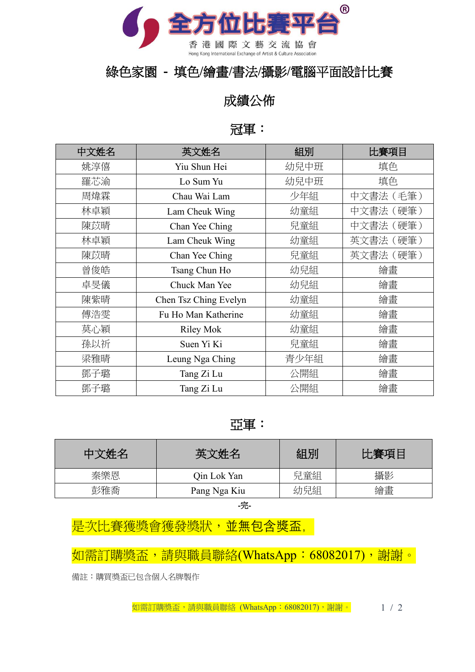

## 綠色家園 **-** 填色**/**繪畫**/**書法**/**攝影**/**電腦平面設計比賽

## 成績公佈

## 冠軍:

| 中文姓名 | 英文姓名                  | 組別   | 比賽項目      |
|------|-----------------------|------|-----------|
| 姚淳僖  | Yiu Shun Hei          | 幼兒中班 | 填色        |
| 羅芯渝  | Lo Sum Yu             | 幼兒中班 | 填色        |
| 周煒霖  | Chau Wai Lam          | 少年組  | 中文書法 (毛筆) |
| 林卓穎  | Lam Cheuk Wing        | 幼童組  | 中文書法(硬筆)  |
| 陳苡晴  | Chan Yee Ching        | 兒童組  | 中文書法(硬筆)  |
| 林卓穎  | Lam Cheuk Wing        | 幼童組  | 英文書法 (硬筆) |
| 陳苡晴  | Chan Yee Ching        | 兒童組  | 英文書法 (硬筆) |
| 曾俊皓  | Tsang Chun Ho         | 幼兒組  | 繪畫        |
| 卓旻儀  | Chuck Man Yee         | 幼兒組  | 繪畫        |
| 陳紫晴  | Chen Tsz Ching Evelyn | 幼童組  | 繪畫        |
| 傅浩雯  | Fu Ho Man Katherine   | 幼童組  | 繪畫        |
| 莫心穎  | <b>Riley Mok</b>      | 幼童組  | 繪畫        |
| 孫以祈  | Suen Yi Ki            | 兒童組  | 繪畫        |
| 梁雅晴  | Leung Nga Ching       | 青少年組 | 繪畫        |
| 鄧子璐  | Tang Zi Lu            | 公開組  | 繪畫        |
| 鄧子璐  | Tang Zi Lu            | 公開組  | 繪畫        |

## 亞軍:

| 中文姓名 | 英文姓名         | 組別  | 比賽項目 |
|------|--------------|-----|------|
| 秦樂恩  | Qin Lok Yan  | 兒童組 | 攝影   |
| 彭雅喬  | Pang Nga Kiu | 幼兒組 | 繪畫   |

-完-

是次比賽獲獎會獲發獎狀,並無包含獎盃,

如需訂購獎盃,請與職員聯絡(WhatsApp:68082017),謝謝。

備註:購買獎盃已包含個人名牌製作

如需訂購獎盃,請與職員聯絡 (WhatsApp: 68082017), 謝謝。 1 / 2